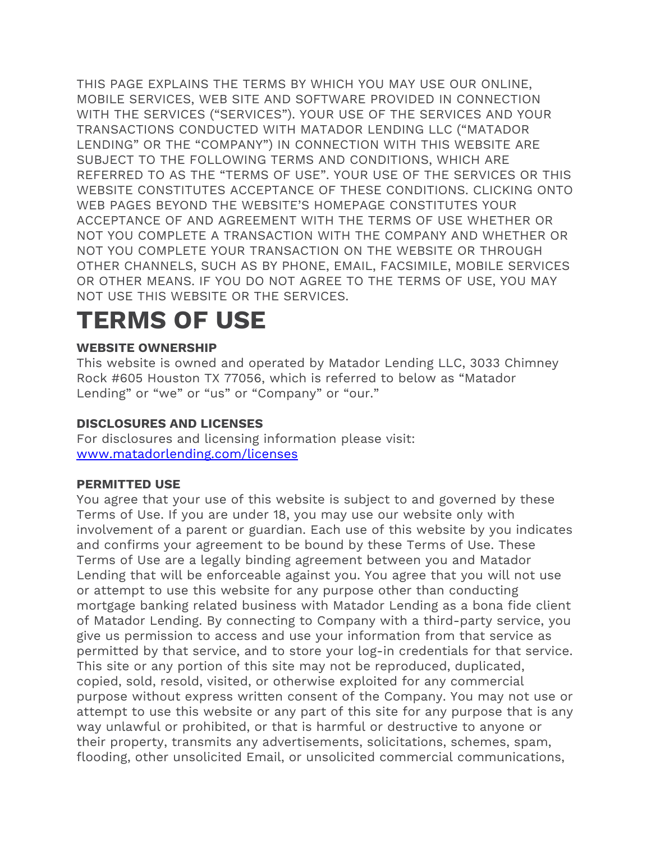THIS PAGE EXPLAINS THE TERMS BY WHICH YOU MAY USE OUR ONLINE, MOBILE SERVICES, WEB SITE AND SOFTWARE PROVIDED IN CONNECTION WITH THE SERVICES ("SERVICES"). YOUR USE OF THE SERVICES AND YOUR TRANSACTIONS CONDUCTED WITH MATADOR LENDING LLC ("MATADOR LENDING" OR THE "COMPANY") IN CONNECTION WITH THIS WEBSITE ARE SUBJECT TO THE FOLLOWING TERMS AND CONDITIONS, WHICH ARE REFERRED TO AS THE "TERMS OF USE". YOUR USE OF THE SERVICES OR THIS WEBSITE CONSTITUTES ACCEPTANCE OF THESE CONDITIONS. CLICKING ONTO WEB PAGES BEYOND THE WEBSITE'S HOMEPAGE CONSTITUTES YOUR ACCEPTANCE OF AND AGREEMENT WITH THE TERMS OF USE WHETHER OR NOT YOU COMPLETE A TRANSACTION WITH THE COMPANY AND WHETHER OR NOT YOU COMPLETE YOUR TRANSACTION ON THE WEBSITE OR THROUGH OTHER CHANNELS, SUCH AS BY PHONE, EMAIL, FACSIMILE, MOBILE SERVICES OR OTHER MEANS. IF YOU DO NOT AGREE TO THE TERMS OF USE, YOU MAY NOT USE THIS WEBSITE OR THE SERVICES.

# **TERMS OF USE**

# **WEBSITE OWNERSHIP**

This website is owned and operated by Matador Lending LLC, 3033 Chimney Rock #605 Houston TX 77056, which is referred to below as "Matador Lending" or "we" or "us" or "Company" or "our."

# **DISCLOSURES AND LICENSES**

For disclosures and licensing information please visit: [www.matadorlending.com/licenses](http://www.matadorlending.com/licenses)

# **PERMITTED USE**

You agree that your use of this website is subject to and governed by these Terms of Use. If you are under 18, you may use our website only with involvement of a parent or guardian. Each use of this website by you indicates and confirms your agreement to be bound by these Terms of Use. These Terms of Use are a legally binding agreement between you and Matador Lending that will be enforceable against you. You agree that you will not use or attempt to use this website for any purpose other than conducting mortgage banking related business with Matador Lending as a bona fide client of Matador Lending. By connecting to Company with a third-party service, you give us permission to access and use your information from that service as permitted by that service, and to store your log-in credentials for that service. This site or any portion of this site may not be reproduced, duplicated, copied, sold, resold, visited, or otherwise exploited for any commercial purpose without express written consent of the Company. You may not use or attempt to use this website or any part of this site for any purpose that is any way unlawful or prohibited, or that is harmful or destructive to anyone or their property, transmits any advertisements, solicitations, schemes, spam, flooding, other unsolicited Email, or unsolicited commercial communications,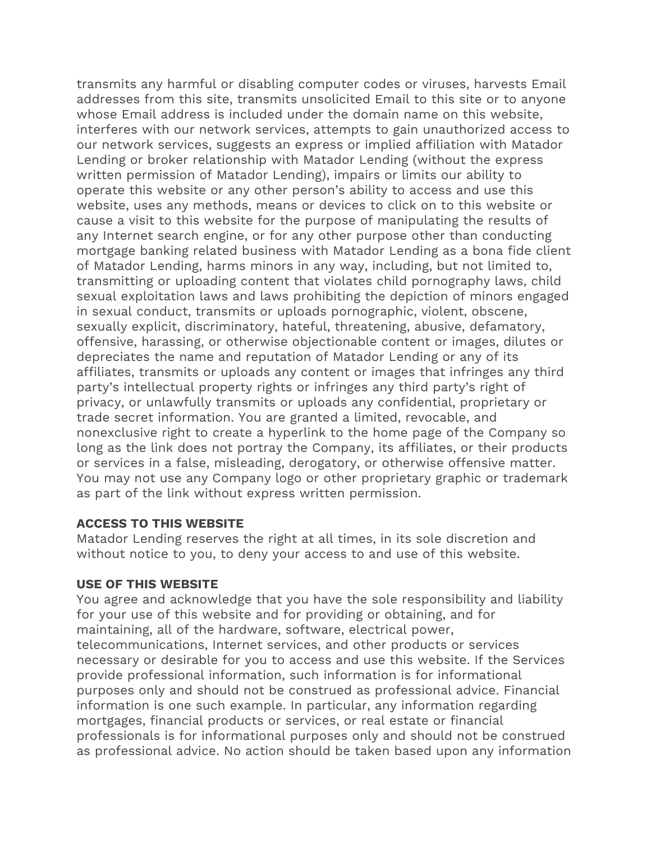transmits any harmful or disabling computer codes or viruses, harvests Email addresses from this site, transmits unsolicited Email to this site or to anyone whose Email address is included under the domain name on this website, interferes with our network services, attempts to gain unauthorized access to our network services, suggests an express or implied affiliation with Matador Lending or broker relationship with Matador Lending (without the express written permission of Matador Lending), impairs or limits our ability to operate this website or any other person's ability to access and use this website, uses any methods, means or devices to click on to this website or cause a visit to this website for the purpose of manipulating the results of any Internet search engine, or for any other purpose other than conducting mortgage banking related business with Matador Lending as a bona fide client of Matador Lending, harms minors in any way, including, but not limited to, transmitting or uploading content that violates child pornography laws, child sexual exploitation laws and laws prohibiting the depiction of minors engaged in sexual conduct, transmits or uploads pornographic, violent, obscene, sexually explicit, discriminatory, hateful, threatening, abusive, defamatory, offensive, harassing, or otherwise objectionable content or images, dilutes or depreciates the name and reputation of Matador Lending or any of its affiliates, transmits or uploads any content or images that infringes any third party's intellectual property rights or infringes any third party's right of privacy, or unlawfully transmits or uploads any confidential, proprietary or trade secret information. You are granted a limited, revocable, and nonexclusive right to create a hyperlink to the home page of the Company so long as the link does not portray the Company, its affiliates, or their products or services in a false, misleading, derogatory, or otherwise offensive matter. You may not use any Company logo or other proprietary graphic or trademark as part of the link without express written permission.

#### **ACCESS TO THIS WEBSITE**

Matador Lending reserves the right at all times, in its sole discretion and without notice to you, to deny your access to and use of this website.

#### **USE OF THIS WEBSITE**

You agree and acknowledge that you have the sole responsibility and liability for your use of this website and for providing or obtaining, and for maintaining, all of the hardware, software, electrical power, telecommunications, Internet services, and other products or services necessary or desirable for you to access and use this website. If the Services provide professional information, such information is for informational purposes only and should not be construed as professional advice. Financial information is one such example. In particular, any information regarding mortgages, financial products or services, or real estate or financial professionals is for informational purposes only and should not be construed as professional advice. No action should be taken based upon any information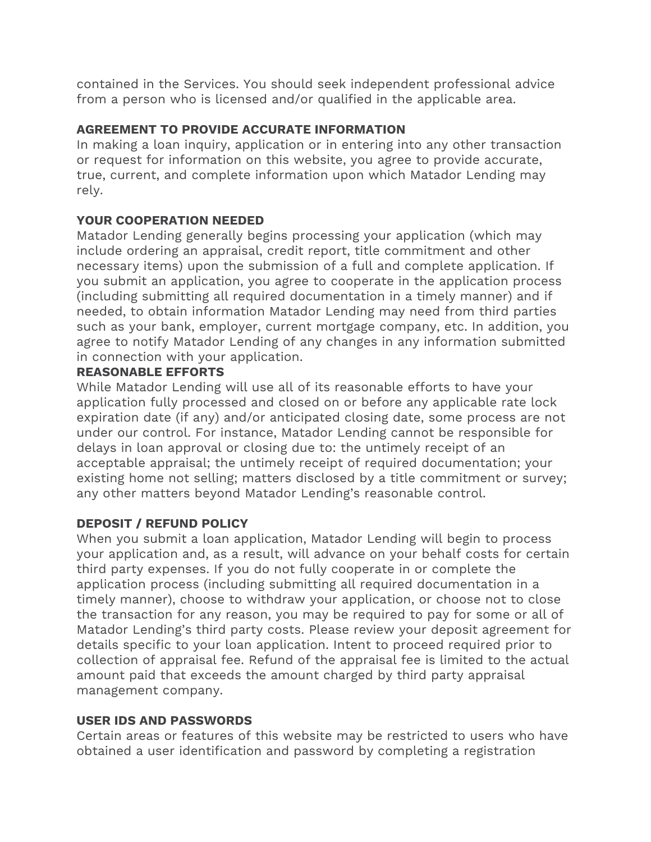contained in the Services. You should seek independent professional advice from a person who is licensed and/or qualified in the applicable area.

# **AGREEMENT TO PROVIDE ACCURATE INFORMATION**

In making a loan inquiry, application or in entering into any other transaction or request for information on this website, you agree to provide accurate, true, current, and complete information upon which Matador Lending may rely.

# **YOUR COOPERATION NEEDED**

Matador Lending generally begins processing your application (which may include ordering an appraisal, credit report, title commitment and other necessary items) upon the submission of a full and complete application. If you submit an application, you agree to cooperate in the application process (including submitting all required documentation in a timely manner) and if needed, to obtain information Matador Lending may need from third parties such as your bank, employer, current mortgage company, etc. In addition, you agree to notify Matador Lending of any changes in any information submitted in connection with your application.

# **REASONABLE EFFORTS**

While Matador Lending will use all of its reasonable efforts to have your application fully processed and closed on or before any applicable rate lock expiration date (if any) and/or anticipated closing date, some process are not under our control. For instance, Matador Lending cannot be responsible for delays in loan approval or closing due to: the untimely receipt of an acceptable appraisal; the untimely receipt of required documentation; your existing home not selling; matters disclosed by a title commitment or survey; any other matters beyond Matador Lending's reasonable control.

# **DEPOSIT / REFUND POLICY**

When you submit a loan application, Matador Lending will begin to process your application and, as a result, will advance on your behalf costs for certain third party expenses. If you do not fully cooperate in or complete the application process (including submitting all required documentation in a timely manner), choose to withdraw your application, or choose not to close the transaction for any reason, you may be required to pay for some or all of Matador Lending's third party costs. Please review your deposit agreement for details specific to your loan application. Intent to proceed required prior to collection of appraisal fee. Refund of the appraisal fee is limited to the actual amount paid that exceeds the amount charged by third party appraisal management company.

# **USER IDS AND PASSWORDS**

Certain areas or features of this website may be restricted to users who have obtained a user identification and password by completing a registration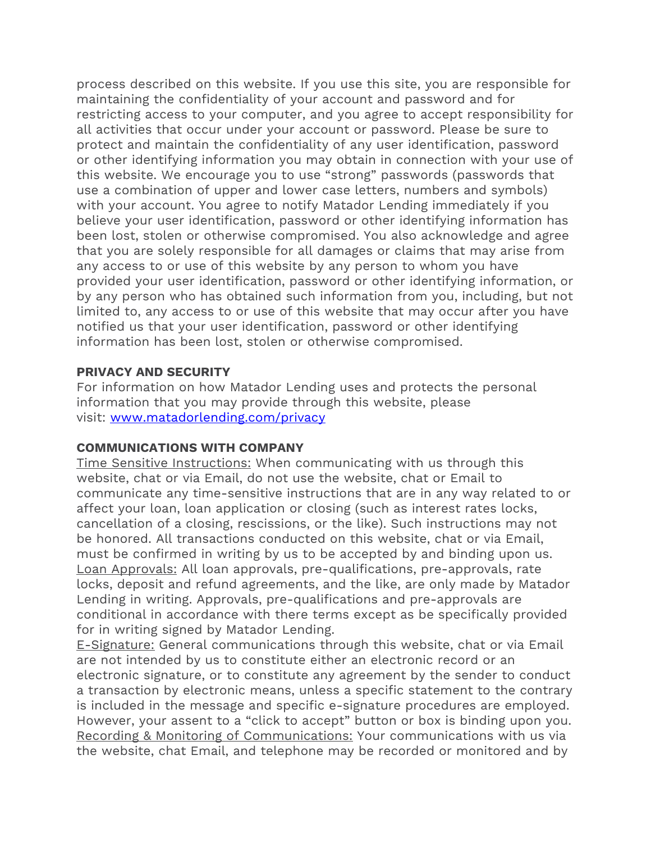process described on this website. If you use this site, you are responsible for maintaining the confidentiality of your account and password and for restricting access to your computer, and you agree to accept responsibility for all activities that occur under your account or password. Please be sure to protect and maintain the confidentiality of any user identification, password or other identifying information you may obtain in connection with your use of this website. We encourage you to use "strong" passwords (passwords that use a combination of upper and lower case letters, numbers and symbols) with your account. You agree to notify Matador Lending immediately if you believe your user identification, password or other identifying information has been lost, stolen or otherwise compromised. You also acknowledge and agree that you are solely responsible for all damages or claims that may arise from any access to or use of this website by any person to whom you have provided your user identification, password or other identifying information, or by any person who has obtained such information from you, including, but not limited to, any access to or use of this website that may occur after you have notified us that your user identification, password or other identifying information has been lost, stolen or otherwise compromised.

## **PRIVACY AND SECURITY**

For information on how Matador Lending uses and protects the personal information that you may provide through this website, please visit: [www.matadorlending.com/privacy](http://www.matadorlending.com/privacy)

## **COMMUNICATIONS WITH COMPANY**

Time Sensitive Instructions: When communicating with us through this website, chat or via Email, do not use the website, chat or Email to communicate any time-sensitive instructions that are in any way related to or affect your loan, loan application or closing (such as interest rates locks, cancellation of a closing, rescissions, or the like). Such instructions may not be honored. All transactions conducted on this website, chat or via Email, must be confirmed in writing by us to be accepted by and binding upon us. Loan Approvals: All loan approvals, pre-qualifications, pre-approvals, rate locks, deposit and refund agreements, and the like, are only made by Matador Lending in writing. Approvals, pre-qualifications and pre-approvals are conditional in accordance with there terms except as be specifically provided for in writing signed by Matador Lending.

E-Signature: General communications through this website, chat or via Email are not intended by us to constitute either an electronic record or an electronic signature, or to constitute any agreement by the sender to conduct a transaction by electronic means, unless a specific statement to the contrary is included in the message and specific e-signature procedures are employed. However, your assent to a "click to accept" button or box is binding upon you. Recording & Monitoring of Communications: Your communications with us via the website, chat Email, and telephone may be recorded or monitored and by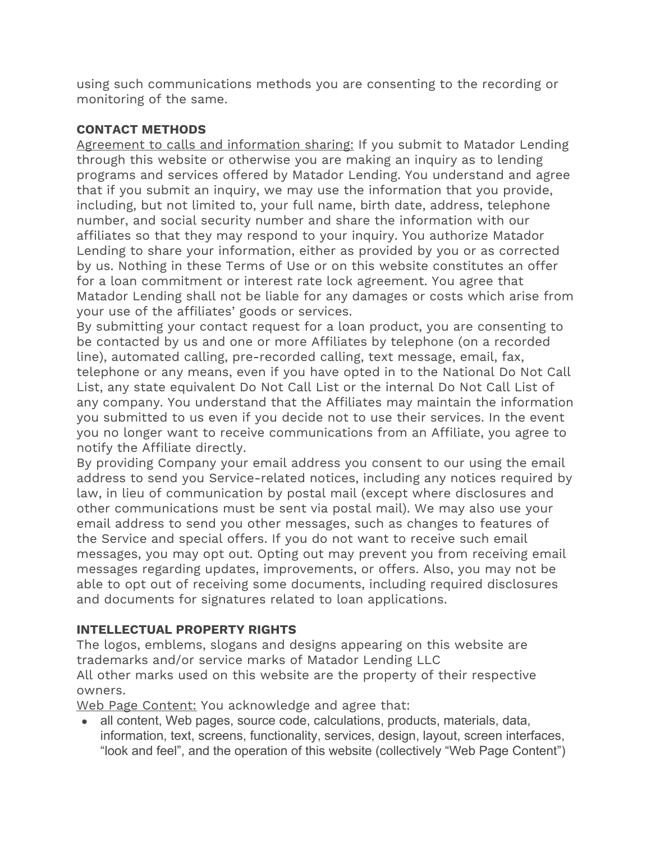using such communications methods you are consenting to the recording or monitoring of the same.

# **CONTACT METHODS**

Agreement to calls and information sharing: If you submit to Matador Lending through this website or otherwise you are making an inquiry as to lending programs and services offered by Matador Lending. You understand and agree that if you submit an inquiry, we may use the information that you provide, including, but not limited to, your full name, birth date, address, telephone number, and social security number and share the information with our affiliates so that they may respond to your inquiry. You authorize Matador Lending to share your information, either as provided by you or as corrected by us. Nothing in these Terms of Use or on this website constitutes an offer for a loan commitment or interest rate lock agreement. You agree that Matador Lending shall not be liable for any damages or costs which arise from your use of the affiliates' goods or services.

By submitting your contact request for a loan product, you are consenting to be contacted by us and one or more Affiliates by telephone (on a recorded line), automated calling, pre-recorded calling, text message, email, fax, telephone or any means, even if you have opted in to the National Do Not Call List, any state equivalent Do Not Call List or the internal Do Not Call List of any company. You understand that the Affiliates may maintain the information you submitted to us even if you decide not to use their services. In the event you no longer want to receive communications from an Affiliate, you agree to notify the Affiliate directly.

By providing Company your email address you consent to our using the email address to send you Service-related notices, including any notices required by law, in lieu of communication by postal mail (except where disclosures and other communications must be sent via postal mail). We may also use your email address to send you other messages, such as changes to features of the Service and special offers. If you do not want to receive such email messages, you may opt out. Opting out may prevent you from receiving email messages regarding updates, improvements, or offers. Also, you may not be able to opt out of receiving some documents, including required disclosures and documents for signatures related to loan applications.

# **INTELLECTUAL PROPERTY RIGHTS**

The logos, emblems, slogans and designs appearing on this website are trademarks and/or service marks of Matador Lending LLC All other marks used on this website are the property of their respective owners.

Web Page Content: You acknowledge and agree that:

• all content, Web pages, source code, calculations, products, materials, data, information, text, screens, functionality, services, design, layout, screen interfaces, "look and feel", and the operation of this website (collectively "Web Page Content")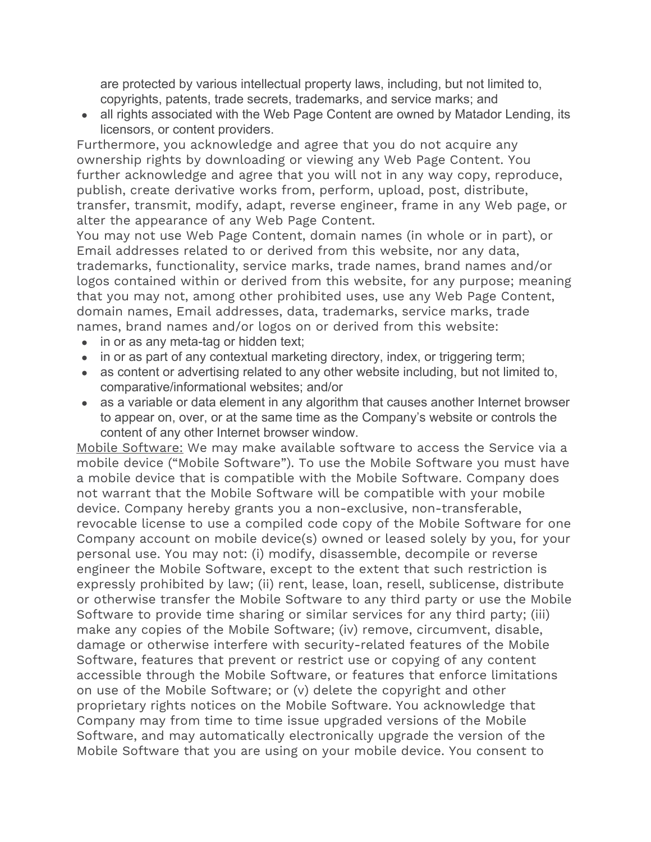are protected by various intellectual property laws, including, but not limited to, copyrights, patents, trade secrets, trademarks, and service marks; and

• all rights associated with the Web Page Content are owned by Matador Lending, its licensors, or content providers.

Furthermore, you acknowledge and agree that you do not acquire any ownership rights by downloading or viewing any Web Page Content. You further acknowledge and agree that you will not in any way copy, reproduce, publish, create derivative works from, perform, upload, post, distribute, transfer, transmit, modify, adapt, reverse engineer, frame in any Web page, or alter the appearance of any Web Page Content.

You may not use Web Page Content, domain names (in whole or in part), or Email addresses related to or derived from this website, nor any data, trademarks, functionality, service marks, trade names, brand names and/or logos contained within or derived from this website, for any purpose; meaning that you may not, among other prohibited uses, use any Web Page Content, domain names, Email addresses, data, trademarks, service marks, trade names, brand names and/or logos on or derived from this website:

- in or as any meta-tag or hidden text;
- in or as part of any contextual marketing directory, index, or triggering term;
- as content or advertising related to any other website including, but not limited to, comparative/informational websites; and/or
- as a variable or data element in any algorithm that causes another Internet browser to appear on, over, or at the same time as the Company's website or controls the content of any other Internet browser window.

Mobile Software: We may make available software to access the Service via a mobile device ("Mobile Software"). To use the Mobile Software you must have a mobile device that is compatible with the Mobile Software. Company does not warrant that the Mobile Software will be compatible with your mobile device. Company hereby grants you a non-exclusive, non-transferable, revocable license to use a compiled code copy of the Mobile Software for one Company account on mobile device(s) owned or leased solely by you, for your personal use. You may not: (i) modify, disassemble, decompile or reverse engineer the Mobile Software, except to the extent that such restriction is expressly prohibited by law; (ii) rent, lease, loan, resell, sublicense, distribute or otherwise transfer the Mobile Software to any third party or use the Mobile Software to provide time sharing or similar services for any third party; (iii) make any copies of the Mobile Software; (iv) remove, circumvent, disable, damage or otherwise interfere with security-related features of the Mobile Software, features that prevent or restrict use or copying of any content accessible through the Mobile Software, or features that enforce limitations on use of the Mobile Software; or (v) delete the copyright and other proprietary rights notices on the Mobile Software. You acknowledge that Company may from time to time issue upgraded versions of the Mobile Software, and may automatically electronically upgrade the version of the Mobile Software that you are using on your mobile device. You consent to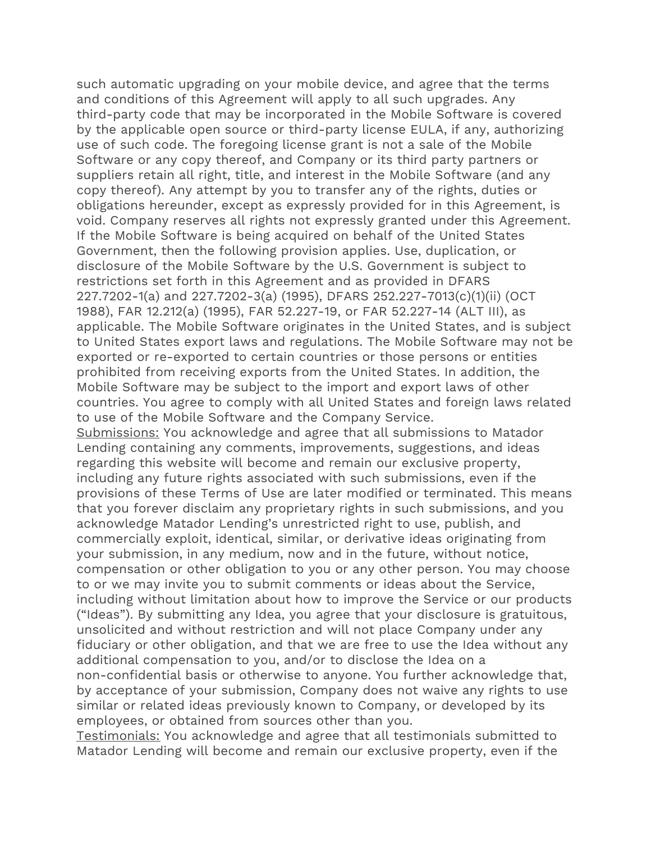such automatic upgrading on your mobile device, and agree that the terms and conditions of this Agreement will apply to all such upgrades. Any third-party code that may be incorporated in the Mobile Software is covered by the applicable open source or third-party license EULA, if any, authorizing use of such code. The foregoing license grant is not a sale of the Mobile Software or any copy thereof, and Company or its third party partners or suppliers retain all right, title, and interest in the Mobile Software (and any copy thereof). Any attempt by you to transfer any of the rights, duties or obligations hereunder, except as expressly provided for in this Agreement, is void. Company reserves all rights not expressly granted under this Agreement. If the Mobile Software is being acquired on behalf of the United States Government, then the following provision applies. Use, duplication, or disclosure of the Mobile Software by the U.S. Government is subject to restrictions set forth in this Agreement and as provided in DFARS 227.7202-1(a) and 227.7202-3(a) (1995), DFARS 252.227-7013(c)(1)(ii) (OCT 1988), FAR 12.212(a) (1995), FAR 52.227-19, or FAR 52.227-14 (ALT III), as applicable. The Mobile Software originates in the United States, and is subject to United States export laws and regulations. The Mobile Software may not be exported or re-exported to certain countries or those persons or entities prohibited from receiving exports from the United States. In addition, the Mobile Software may be subject to the import and export laws of other countries. You agree to comply with all United States and foreign laws related to use of the Mobile Software and the Company Service. Submissions: You acknowledge and agree that all submissions to Matador Lending containing any comments, improvements, suggestions, and ideas regarding this website will become and remain our exclusive property, including any future rights associated with such submissions, even if the provisions of these Terms of Use are later modified or terminated. This means that you forever disclaim any proprietary rights in such submissions, and you acknowledge Matador Lending's unrestricted right to use, publish, and commercially exploit, identical, similar, or derivative ideas originating from your submission, in any medium, now and in the future, without notice, compensation or other obligation to you or any other person. You may choose to or we may invite you to submit comments or ideas about the Service, including without limitation about how to improve the Service or our products ("Ideas"). By submitting any Idea, you agree that your disclosure is gratuitous, unsolicited and without restriction and will not place Company under any fiduciary or other obligation, and that we are free to use the Idea without any additional compensation to you, and/or to disclose the Idea on a non-confidential basis or otherwise to anyone. You further acknowledge that, by acceptance of your submission, Company does not waive any rights to use similar or related ideas previously known to Company, or developed by its employees, or obtained from sources other than you.

Testimonials: You acknowledge and agree that all testimonials submitted to Matador Lending will become and remain our exclusive property, even if the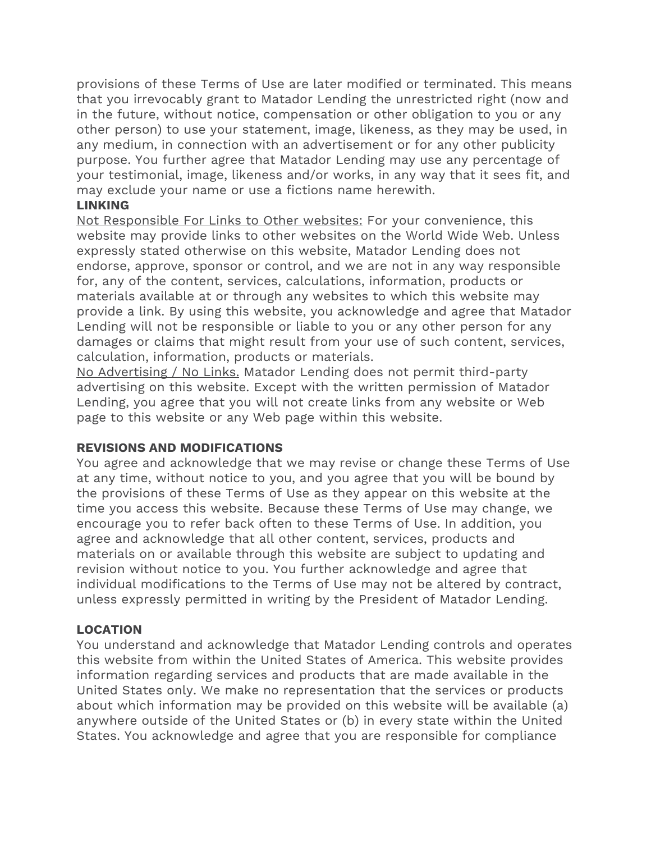provisions of these Terms of Use are later modified or terminated. This means that you irrevocably grant to Matador Lending the unrestricted right (now and in the future, without notice, compensation or other obligation to you or any other person) to use your statement, image, likeness, as they may be used, in any medium, in connection with an advertisement or for any other publicity purpose. You further agree that Matador Lending may use any percentage of your testimonial, image, likeness and/or works, in any way that it sees fit, and may exclude your name or use a fictions name herewith.

#### **LINKING**

Not Responsible For Links to Other websites: For your convenience, this website may provide links to other websites on the World Wide Web. Unless expressly stated otherwise on this website, Matador Lending does not endorse, approve, sponsor or control, and we are not in any way responsible for, any of the content, services, calculations, information, products or materials available at or through any websites to which this website may provide a link. By using this website, you acknowledge and agree that Matador Lending will not be responsible or liable to you or any other person for any damages or claims that might result from your use of such content, services, calculation, information, products or materials.

No Advertising / No Links. Matador Lending does not permit third-party advertising on this website. Except with the written permission of Matador Lending, you agree that you will not create links from any website or Web page to this website or any Web page within this website.

## **REVISIONS AND MODIFICATIONS**

You agree and acknowledge that we may revise or change these Terms of Use at any time, without notice to you, and you agree that you will be bound by the provisions of these Terms of Use as they appear on this website at the time you access this website. Because these Terms of Use may change, we encourage you to refer back often to these Terms of Use. In addition, you agree and acknowledge that all other content, services, products and materials on or available through this website are subject to updating and revision without notice to you. You further acknowledge and agree that individual modifications to the Terms of Use may not be altered by contract, unless expressly permitted in writing by the President of Matador Lending.

# **LOCATION**

You understand and acknowledge that Matador Lending controls and operates this website from within the United States of America. This website provides information regarding services and products that are made available in the United States only. We make no representation that the services or products about which information may be provided on this website will be available (a) anywhere outside of the United States or (b) in every state within the United States. You acknowledge and agree that you are responsible for compliance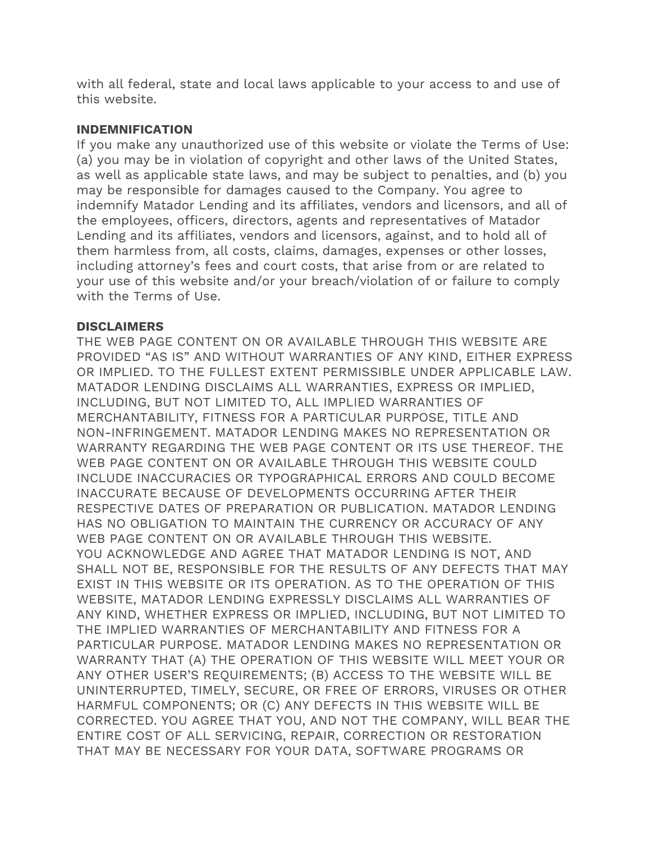with all federal, state and local laws applicable to your access to and use of this website.

## **INDEMNIFICATION**

If you make any unauthorized use of this website or violate the Terms of Use: (a) you may be in violation of copyright and other laws of the United States, as well as applicable state laws, and may be subject to penalties, and (b) you may be responsible for damages caused to the Company. You agree to indemnify Matador Lending and its affiliates, vendors and licensors, and all of the employees, officers, directors, agents and representatives of Matador Lending and its affiliates, vendors and licensors, against, and to hold all of them harmless from, all costs, claims, damages, expenses or other losses, including attorney's fees and court costs, that arise from or are related to your use of this website and/or your breach/violation of or failure to comply with the Terms of Use.

## **DISCLAIMERS**

THE WEB PAGE CONTENT ON OR AVAILABLE THROUGH THIS WEBSITE ARE PROVIDED "AS IS" AND WITHOUT WARRANTIES OF ANY KIND, EITHER EXPRESS OR IMPLIED. TO THE FULLEST EXTENT PERMISSIBLE UNDER APPLICABLE LAW. MATADOR LENDING DISCLAIMS ALL WARRANTIES, EXPRESS OR IMPLIED, INCLUDING, BUT NOT LIMITED TO, ALL IMPLIED WARRANTIES OF MERCHANTABILITY, FITNESS FOR A PARTICULAR PURPOSE, TITLE AND NON-INFRINGEMENT. MATADOR LENDING MAKES NO REPRESENTATION OR WARRANTY REGARDING THE WEB PAGE CONTENT OR ITS USE THEREOF. THE WEB PAGE CONTENT ON OR AVAILABLE THROUGH THIS WEBSITE COULD INCLUDE INACCURACIES OR TYPOGRAPHICAL ERRORS AND COULD BECOME INACCURATE BECAUSE OF DEVELOPMENTS OCCURRING AFTER THEIR RESPECTIVE DATES OF PREPARATION OR PUBLICATION. MATADOR LENDING HAS NO OBLIGATION TO MAINTAIN THE CURRENCY OR ACCURACY OF ANY WEB PAGE CONTENT ON OR AVAILABLE THROUGH THIS WEBSITE. YOU ACKNOWLEDGE AND AGREE THAT MATADOR LENDING IS NOT, AND SHALL NOT BE, RESPONSIBLE FOR THE RESULTS OF ANY DEFECTS THAT MAY EXIST IN THIS WEBSITE OR ITS OPERATION. AS TO THE OPERATION OF THIS WEBSITE, MATADOR LENDING EXPRESSLY DISCLAIMS ALL WARRANTIES OF ANY KIND, WHETHER EXPRESS OR IMPLIED, INCLUDING, BUT NOT LIMITED TO THE IMPLIED WARRANTIES OF MERCHANTABILITY AND FITNESS FOR A PARTICULAR PURPOSE. MATADOR LENDING MAKES NO REPRESENTATION OR WARRANTY THAT (A) THE OPERATION OF THIS WEBSITE WILL MEET YOUR OR ANY OTHER USER'S REQUIREMENTS; (B) ACCESS TO THE WEBSITE WILL BE UNINTERRUPTED, TIMELY, SECURE, OR FREE OF ERRORS, VIRUSES OR OTHER HARMFUL COMPONENTS; OR (C) ANY DEFECTS IN THIS WEBSITE WILL BE CORRECTED. YOU AGREE THAT YOU, AND NOT THE COMPANY, WILL BEAR THE ENTIRE COST OF ALL SERVICING, REPAIR, CORRECTION OR RESTORATION THAT MAY BE NECESSARY FOR YOUR DATA, SOFTWARE PROGRAMS OR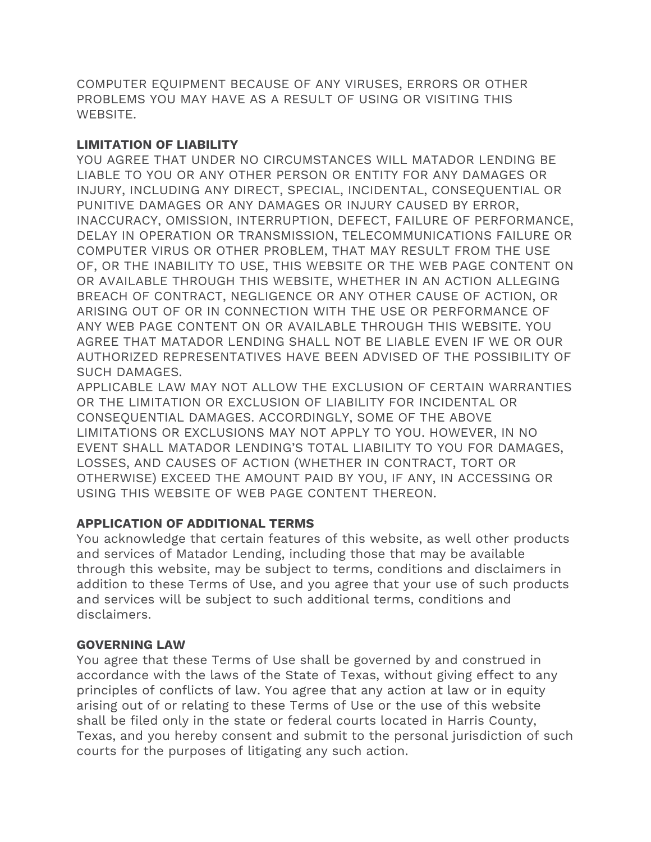COMPUTER EQUIPMENT BECAUSE OF ANY VIRUSES, ERRORS OR OTHER PROBLEMS YOU MAY HAVE AS A RESULT OF USING OR VISITING THIS WEBSITE.

## **LIMITATION OF LIABILITY**

YOU AGREE THAT UNDER NO CIRCUMSTANCES WILL MATADOR LENDING BE LIABLE TO YOU OR ANY OTHER PERSON OR ENTITY FOR ANY DAMAGES OR INJURY, INCLUDING ANY DIRECT, SPECIAL, INCIDENTAL, CONSEQUENTIAL OR PUNITIVE DAMAGES OR ANY DAMAGES OR INJURY CAUSED BY ERROR, INACCURACY, OMISSION, INTERRUPTION, DEFECT, FAILURE OF PERFORMANCE, DELAY IN OPERATION OR TRANSMISSION, TELECOMMUNICATIONS FAILURE OR COMPUTER VIRUS OR OTHER PROBLEM, THAT MAY RESULT FROM THE USE OF, OR THE INABILITY TO USE, THIS WEBSITE OR THE WEB PAGE CONTENT ON OR AVAILABLE THROUGH THIS WEBSITE, WHETHER IN AN ACTION ALLEGING BREACH OF CONTRACT, NEGLIGENCE OR ANY OTHER CAUSE OF ACTION, OR ARISING OUT OF OR IN CONNECTION WITH THE USE OR PERFORMANCE OF ANY WEB PAGE CONTENT ON OR AVAILABLE THROUGH THIS WEBSITE. YOU AGREE THAT MATADOR LENDING SHALL NOT BE LIABLE EVEN IF WE OR OUR AUTHORIZED REPRESENTATIVES HAVE BEEN ADVISED OF THE POSSIBILITY OF SUCH DAMAGES.

APPLICABLE LAW MAY NOT ALLOW THE EXCLUSION OF CERTAIN WARRANTIES OR THE LIMITATION OR EXCLUSION OF LIABILITY FOR INCIDENTAL OR CONSEQUENTIAL DAMAGES. ACCORDINGLY, SOME OF THE ABOVE LIMITATIONS OR EXCLUSIONS MAY NOT APPLY TO YOU. HOWEVER, IN NO EVENT SHALL MATADOR LENDING'S TOTAL LIABILITY TO YOU FOR DAMAGES, LOSSES, AND CAUSES OF ACTION (WHETHER IN CONTRACT, TORT OR OTHERWISE) EXCEED THE AMOUNT PAID BY YOU, IF ANY, IN ACCESSING OR USING THIS WEBSITE OF WEB PAGE CONTENT THEREON.

# **APPLICATION OF ADDITIONAL TERMS**

You acknowledge that certain features of this website, as well other products and services of Matador Lending, including those that may be available through this website, may be subject to terms, conditions and disclaimers in addition to these Terms of Use, and you agree that your use of such products and services will be subject to such additional terms, conditions and disclaimers.

## **GOVERNING LAW**

You agree that these Terms of Use shall be governed by and construed in accordance with the laws of the State of Texas, without giving effect to any principles of conflicts of law. You agree that any action at law or in equity arising out of or relating to these Terms of Use or the use of this website shall be filed only in the state or federal courts located in Harris County, Texas, and you hereby consent and submit to the personal jurisdiction of such courts for the purposes of litigating any such action.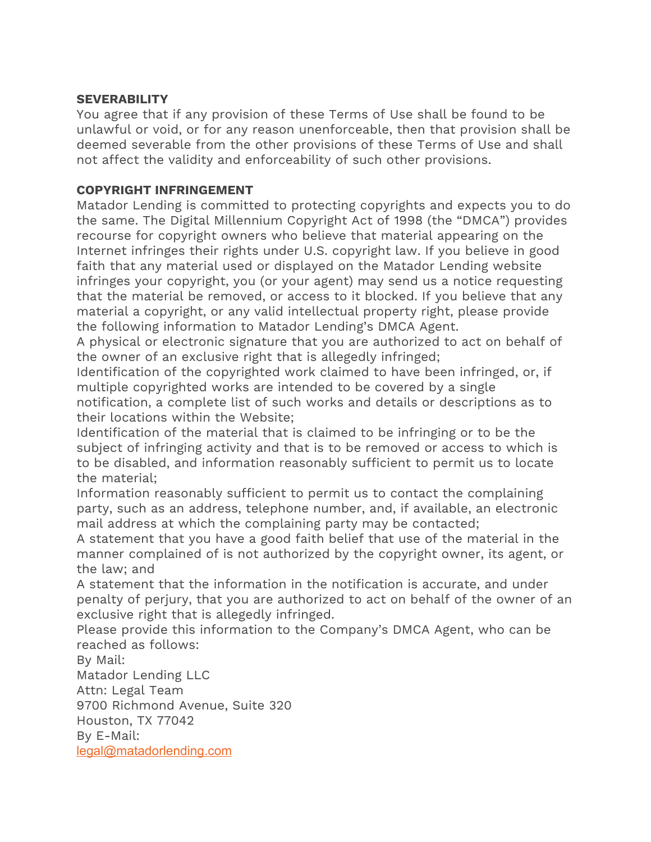## **SEVERABILITY**

You agree that if any provision of these Terms of Use shall be found to be unlawful or void, or for any reason unenforceable, then that provision shall be deemed severable from the other provisions of these Terms of Use and shall not affect the validity and enforceability of such other provisions.

## **COPYRIGHT INFRINGEMENT**

Matador Lending is committed to protecting copyrights and expects you to do the same. The Digital Millennium Copyright Act of 1998 (the "DMCA") provides recourse for copyright owners who believe that material appearing on the Internet infringes their rights under U.S. copyright law. If you believe in good faith that any material used or displayed on the Matador Lending website infringes your copyright, you (or your agent) may send us a notice requesting that the material be removed, or access to it blocked. If you believe that any material a copyright, or any valid intellectual property right, please provide the following information to Matador Lending's DMCA Agent.

A physical or electronic signature that you are authorized to act on behalf of the owner of an exclusive right that is allegedly infringed;

Identification of the copyrighted work claimed to have been infringed, or, if multiple copyrighted works are intended to be covered by a single notification, a complete list of such works and details or descriptions as to their locations within the Website;

Identification of the material that is claimed to be infringing or to be the subject of infringing activity and that is to be removed or access to which is to be disabled, and information reasonably sufficient to permit us to locate the material;

Information reasonably sufficient to permit us to contact the complaining party, such as an address, telephone number, and, if available, an electronic mail address at which the complaining party may be contacted;

A statement that you have a good faith belief that use of the material in the manner complained of is not authorized by the copyright owner, its agent, or the law; and

A statement that the information in the notification is accurate, and under penalty of perjury, that you are authorized to act on behalf of the owner of an exclusive right that is allegedly infringed.

Please provide this information to the Company's DMCA Agent, who can be reached as follows:

By Mail: Matador Lending LLC Attn: Legal Team 9700 Richmond Avenue, Suite 320 Houston, TX 77042 By E-Mail: [legal@matadorlending.com](mailto:Legal@nflp.com)